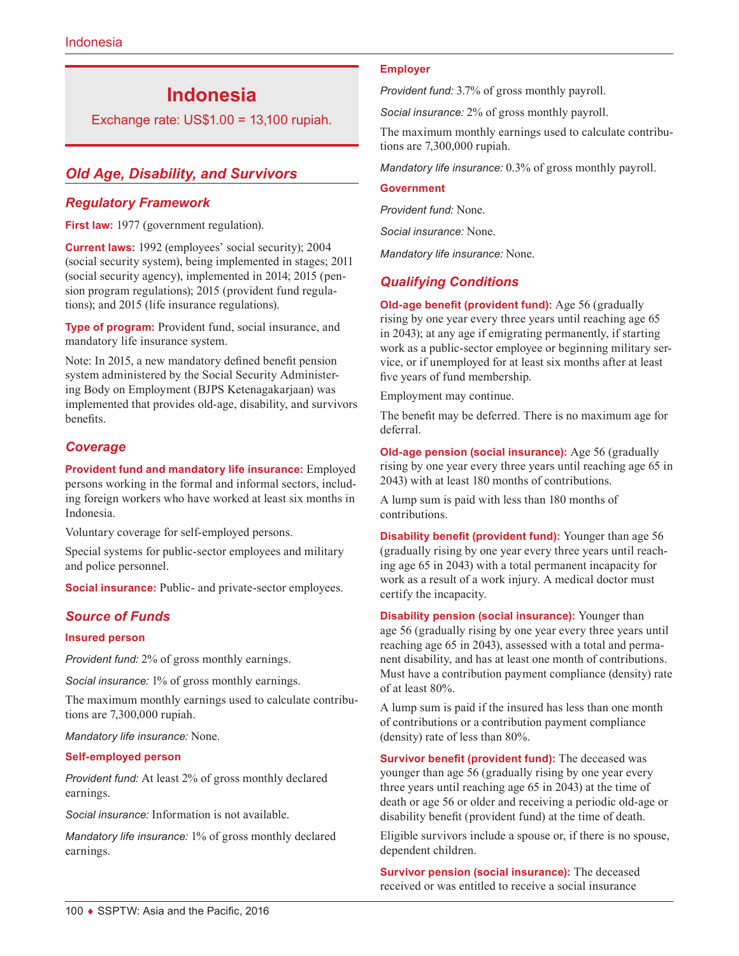# **Indonesia**

Exchange rate: US\$1.00 = 13,100 rupiah.

# *Old Age, Disability, and Survivors*

### *Regulatory Framework*

**First law:** 1977 (government regulation).

**Current laws:** 1992 (employees' social security); 2004 (social security system), being implemented in stages; 2011 (social security agency), implemented in 2014; 2015 (pension program regulations); 2015 (provident fund regulations); and 2015 (life insurance regulations).

**Type of program:** Provident fund, social insurance, and mandatory life insurance system.

Note: In 2015, a new mandatory defined benefit pension system administered by the Social Security Administering Body on Employment (BJPS Ketenagakarjaan) was implemented that provides old-age, disability, and survivors benefits.

### *Coverage*

**Provident fund and mandatory life insurance:** Employed persons working in the formal and informal sectors, including foreign workers who have worked at least six months in Indonesia.

Voluntary coverage for self-employed persons.

Special systems for public-sector employees and military and police personnel.

**Social insurance:** Public- and private-sector employees.

### *Source of Funds*

#### **Insured person**

*Provident fund:* 2% of gross monthly earnings.

*Social insurance:* 1% of gross monthly earnings.

The maximum monthly earnings used to calculate contributions are 7,300,000 rupiah.

*Mandatory life insurance:* None.

#### **Self-employed person**

*Provident fund:* At least 2% of gross monthly declared earnings.

*Social insurance:* Information is not available.

*Mandatory life insurance:* 1% of gross monthly declared earnings.

#### **Employer**

*Provident fund:* 3.7% of gross monthly payroll.

*Social insurance:* 2% of gross monthly payroll.

The maximum monthly earnings used to calculate contributions are 7,300,000 rupiah.

*Mandatory life insurance:* 0.3% of gross monthly payroll.

#### **Government**

*Provident fund:* None.

*Social insurance:* None.

*Mandatory life insurance:* None.

### *Qualifying Conditions*

**Old-age benefit (provident fund):** Age 56 (gradually rising by one year every three years until reaching age 65 in 2043); at any age if emigrating permanently, if starting work as a public-sector employee or beginning military service, or if unemployed for at least six months after at least five years of fund membership.

Employment may continue.

The benefit may be deferred. There is no maximum age for deferral.

**Old-age pension (social insurance):** Age 56 (gradually rising by one year every three years until reaching age 65 in 2043) with at least 180 months of contributions.

A lump sum is paid with less than 180 months of contributions.

**Disability benefit (provident fund):** Younger than age 56 (gradually rising by one year every three years until reaching age 65 in 2043) with a total permanent incapacity for work as a result of a work injury. A medical doctor must certify the incapacity.

**Disability pension (social insurance):** Younger than age 56 (gradually rising by one year every three years until reaching age 65 in 2043), assessed with a total and permanent disability, and has at least one month of contributions. Must have a contribution payment compliance (density) rate of at least 80%.

A lump sum is paid if the insured has less than one month of contributions or a contribution payment compliance (density) rate of less than 80%.

**Survivor benefit (provident fund):** The deceased was younger than age 56 (gradually rising by one year every three years until reaching age 65 in 2043) at the time of death or age 56 or older and receiving a periodic old-age or disability benefit (provident fund) at the time of death.

Eligible survivors include a spouse or, if there is no spouse, dependent children.

**Survivor pension (social insurance):** The deceased received or was entitled to receive a social insurance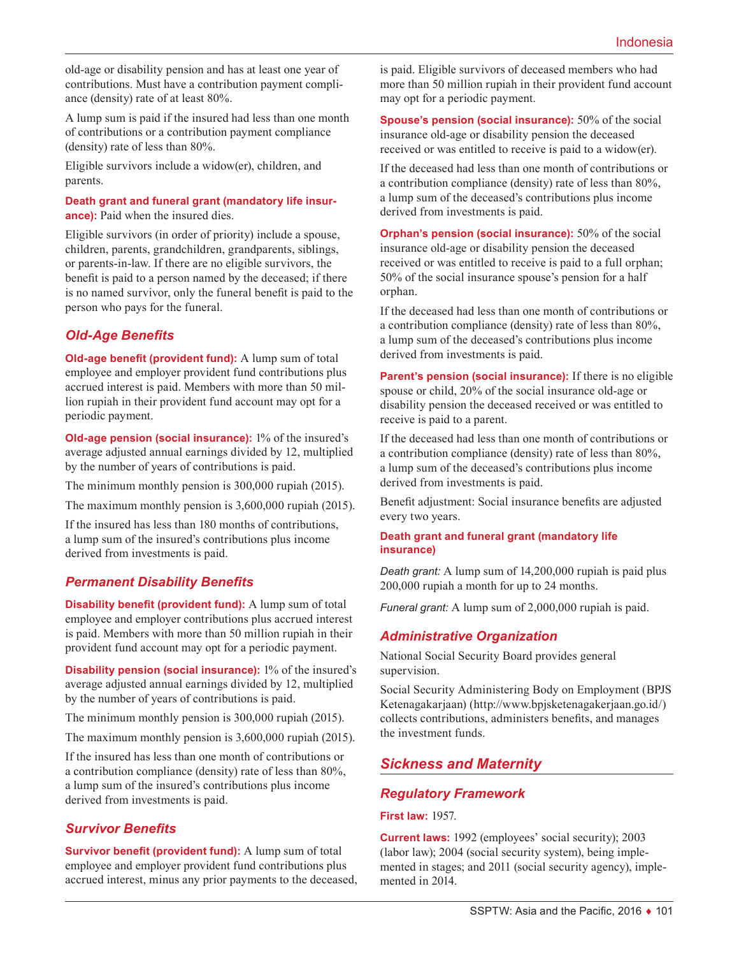old-age or disability pension and has at least one year of contributions. Must have a contribution payment compliance (density) rate of at least 80%.

A lump sum is paid if the insured had less than one month of contributions or a contribution payment compliance (density) rate of less than 80%.

Eligible survivors include a widow(er), children, and parents.

**Death grant and funeral grant (mandatory life insurance):** Paid when the insured dies.

Eligible survivors (in order of priority) include a spouse, children, parents, grandchildren, grandparents, siblings, or parents-in-law. If there are no eligible survivors, the benefit is paid to a person named by the deceased; if there is no named survivor, only the funeral benefit is paid to the person who pays for the funeral.

# *Old-Age Benefits*

**Old-age benefit (provident fund):** A lump sum of total employee and employer provident fund contributions plus accrued interest is paid. Members with more than 50 million rupiah in their provident fund account may opt for a periodic payment.

**Old-age pension (social insurance):** 1% of the insured's average adjusted annual earnings divided by 12, multiplied by the number of years of contributions is paid.

The minimum monthly pension is 300,000 rupiah (2015).

The maximum monthly pension is 3,600,000 rupiah (2015).

If the insured has less than 180 months of contributions, a lump sum of the insured's contributions plus income derived from investments is paid.

# *Permanent Disability Benefits*

**Disability benefit (provident fund):** A lump sum of total employee and employer contributions plus accrued interest is paid. Members with more than 50 million rupiah in their provident fund account may opt for a periodic payment.

**Disability pension (social insurance):** 1% of the insured's average adjusted annual earnings divided by 12, multiplied by the number of years of contributions is paid.

The minimum monthly pension is 300,000 rupiah (2015).

The maximum monthly pension is 3,600,000 rupiah (2015).

If the insured has less than one month of contributions or a contribution compliance (density) rate of less than 80%, a lump sum of the insured's contributions plus income derived from investments is paid.

### *Survivor Benefits*

**Survivor benefit (provident fund):** A lump sum of total employee and employer provident fund contributions plus accrued interest, minus any prior payments to the deceased, is paid. Eligible survivors of deceased members who had more than 50 million rupiah in their provident fund account may opt for a periodic payment.

**Spouse's pension (social insurance):** 50% of the social insurance old-age or disability pension the deceased received or was entitled to receive is paid to a widow(er).

If the deceased had less than one month of contributions or a contribution compliance (density) rate of less than 80%, a lump sum of the deceased's contributions plus income derived from investments is paid.

**Orphan's pension (social insurance):** 50% of the social insurance old-age or disability pension the deceased received or was entitled to receive is paid to a full orphan; 50% of the social insurance spouse's pension for a half orphan.

If the deceased had less than one month of contributions or a contribution compliance (density) rate of less than 80%, a lump sum of the deceased's contributions plus income derived from investments is paid.

**Parent's pension (social insurance):** If there is no eligible spouse or child, 20% of the social insurance old-age or disability pension the deceased received or was entitled to receive is paid to a parent.

If the deceased had less than one month of contributions or a contribution compliance (density) rate of less than 80%, a lump sum of the deceased's contributions plus income derived from investments is paid.

Benefit adjustment: Social insurance benefits are adjusted every two years.

#### **Death grant and funeral grant (mandatory life insurance)**

*Death grant:* A lump sum of 14,200,000 rupiah is paid plus 200,000 rupiah a month for up to 24 months.

*Funeral grant:* A lump sum of 2,000,000 rupiah is paid.

### *Administrative Organization*

National Social Security Board provides general supervision.

Social Security Administering Body on Employment (BPJS Ketenagakarjaan) (<http://www.bpjsketenagakerjaan.go.id/>) collects contributions, administers benefits, and manages the investment funds.

# *Sickness and Maternity*

### *Regulatory Framework*

**First law:** 1957.

**Current laws:** 1992 (employees' social security); 2003 (labor law); 2004 (social security system), being implemented in stages; and 2011 (social security agency), implemented in 2014.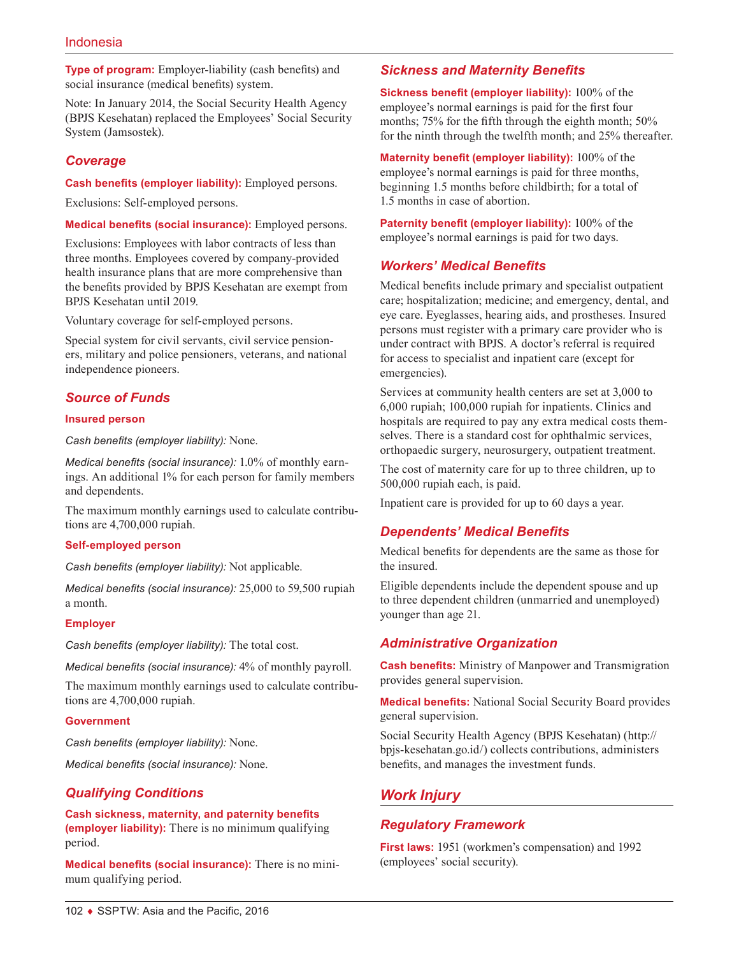**Type of program:** Employer-liability (cash benefits) and social insurance (medical benefits) system.

Note: In January 2014, the Social Security Health Agency (BPJS Kesehatan) replaced the Employees' Social Security System (Jamsostek).

### *Coverage*

**Cash benefits (employer liability):** Employed persons.

Exclusions: Self-employed persons.

**Medical benefits (social insurance):** Employed persons.

Exclusions: Employees with labor contracts of less than three months. Employees covered by company-provided health insurance plans that are more comprehensive than the benefits provided by BPJS Kesehatan are exempt from BPJS Kesehatan until 2019.

Voluntary coverage for self-employed persons.

Special system for civil servants, civil service pensioners, military and police pensioners, veterans, and national independence pioneers.

### *Source of Funds*

#### **Insured person**

*Cash benefits (employer liability):* None.

*Medical benefits (social insurance):* 1.0% of monthly earnings. An additional 1% for each person for family members and dependents.

The maximum monthly earnings used to calculate contributions are 4,700,000 rupiah.

#### **Self-employed person**

*Cash benefits (employer liability):* Not applicable.

*Medical benefits (social insurance):* 25,000 to 59,500 rupiah a month.

#### **Employer**

*Cash benefits (employer liability):* The total cost.

*Medical benefits (social insurance):* 4% of monthly payroll.

The maximum monthly earnings used to calculate contributions are 4,700,000 rupiah.

#### **Government**

*Cash benefits (employer liability):* None.

*Medical benefits (social insurance):* None.

### *Qualifying Conditions*

**Cash sickness, maternity, and paternity benefits (employer liability):** There is no minimum qualifying period.

**Medical benefits (social insurance):** There is no minimum qualifying period.

### *Sickness and Maternity Benefits*

**Sickness benefit (employer liability):** 100% of the employee's normal earnings is paid for the first four months; 75% for the fifth through the eighth month; 50% for the ninth through the twelfth month; and 25% thereafter.

**Maternity benefit (employer liability):** 100% of the employee's normal earnings is paid for three months, beginning 1.5 months before childbirth; for a total of 1.5 months in case of abortion.

**Paternity benefit (employer liability):** 100% of the employee's normal earnings is paid for two days.

### *Workers' Medical Benefits*

Medical benefits include primary and specialist outpatient care; hospitalization; medicine; and emergency, dental, and eye care. Eyeglasses, hearing aids, and prostheses. Insured persons must register with a primary care provider who is under contract with BPJS. A doctor's referral is required for access to specialist and inpatient care (except for emergencies).

Services at community health centers are set at 3,000 to 6,000 rupiah; 100,000 rupiah for inpatients. Clinics and hospitals are required to pay any extra medical costs themselves. There is a standard cost for ophthalmic services, orthopaedic surgery, neurosurgery, outpatient treatment.

The cost of maternity care for up to three children, up to 500,000 rupiah each, is paid.

Inpatient care is provided for up to 60 days a year.

### *Dependents' Medical Benefits*

Medical benefits for dependents are the same as those for the insured.

Eligible dependents include the dependent spouse and up to three dependent children (unmarried and unemployed) younger than age 21.

### *Administrative Organization*

**Cash benefits:** Ministry of Manpower and Transmigration provides general supervision.

**Medical benefits:** National Social Security Board provides general supervision.

Social Security Health Agency (BPJS Kesehatan) [\(http://](http://bpjs-kesehatan.go.id/) [bpjs-kesehatan.go.id/\)](http://bpjs-kesehatan.go.id/) collects contributions, administers benefits, and manages the investment funds.

### *Work Injury*

### *Regulatory Framework*

**First laws:** 1951 (workmen's compensation) and 1992 (employees' social security).